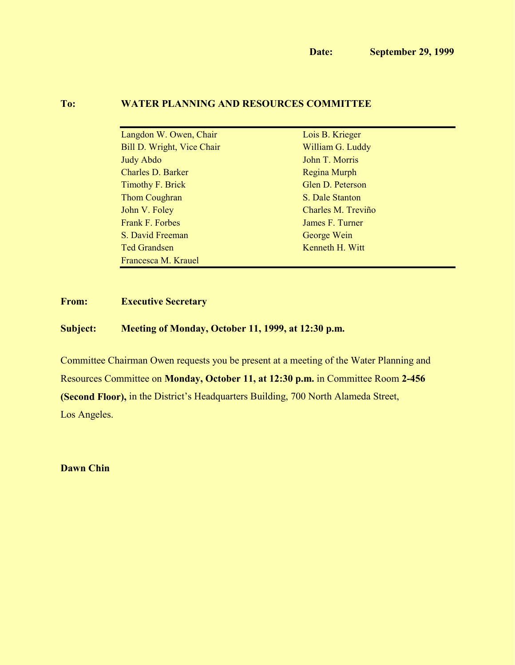# **To: WATER PLANNING AND RESOURCES COMMITTEE**

| Langdon W. Owen, Chair            | Lois B. Krieger    |
|-----------------------------------|--------------------|
| <b>Bill D. Wright, Vice Chair</b> | William G. Luddy   |
| <b>Judy Abdo</b>                  | John T. Morris     |
| <b>Charles D. Barker</b>          | Regina Murph       |
| <b>Timothy F. Brick</b>           | Glen D. Peterson   |
| <b>Thom Coughran</b>              | S. Dale Stanton    |
| John V. Foley                     | Charles M. Treviño |
| <b>Frank F. Forbes</b>            | James F. Turner    |
| S. David Freeman                  | George Wein        |
| <b>Ted Grandsen</b>               | Kenneth H. Witt    |
| Francesca M. Krauel               |                    |

# **From: Executive Secretary**

### **Subject: Meeting of Monday, October 11, 1999, at 12:30 p.m.**

Committee Chairman Owen requests you be present at a meeting of the Water Planning and Resources Committee on **Monday, October 11, at 12:30 p.m.** in Committee Room **2-456 (Second Floor),** in the District's Headquarters Building, 700 North Alameda Street, Los Angeles.

**Dawn Chin**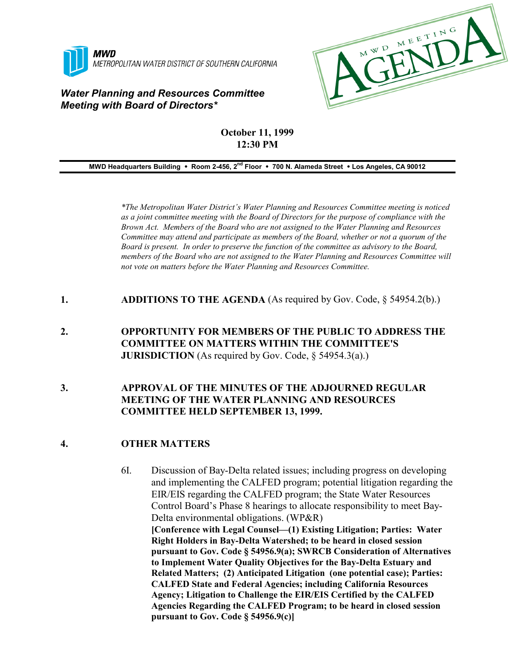

### *Water Planning and Resources Committee Meeting with Board of Directors\**



# **October 11, 1999 12:30 PM**

**MWD Headquarters Building** ! **Room 2-456, 2nd Floor** ! **700 N. Alameda Street** ! **Los Angeles, CA 90012**

*\*The Metropolitan Water District's Water Planning and Resources Committee meeting is noticed as a joint committee meeting with the Board of Directors for the purpose of compliance with the Brown Act. Members of the Board who are not assigned to the Water Planning and Resources Committee may attend and participate as members of the Board, whether or not a quorum of the Board is present. In order to preserve the function of the committee as advisory to the Board, members of the Board who are not assigned to the Water Planning and Resources Committee will not vote on matters before the Water Planning and Resources Committee.*

- **1. ADDITIONS TO THE AGENDA** (As required by Gov. Code, § 54954.2(b).)
- **2. OPPORTUNITY FOR MEMBERS OF THE PUBLIC TO ADDRESS THE COMMITTEE ON MATTERS WITHIN THE COMMITTEE'S JURISDICTION** (As required by Gov. Code, § 54954.3(a).)

### **3. APPROVAL OF THE MINUTES OF THE ADJOURNED REGULAR MEETING OF THE WATER PLANNING AND RESOURCES COMMITTEE HELD SEPTEMBER 13, 1999.**

### **4. OTHER MATTERS**

6I. Discussion of Bay-Delta related issues; including progress on developing and implementing the CALFED program; potential litigation regarding the EIR/EIS regarding the CALFED program; the State Water Resources Control Board's Phase 8 hearings to allocate responsibility to meet Bay-Delta environmental obligations. (WP&R) **[Conference with Legal Counsel—(1) Existing Litigation; Parties: Water Right Holders in Bay-Delta Watershed; to be heard in closed session pursuant to Gov. Code § 54956.9(a); SWRCB Consideration of Alternatives to Implement Water Quality Objectives for the Bay-Delta Estuary and Related Matters; (2) Anticipated Litigation (one potential case); Parties: CALFED State and Federal Agencies; including California Resources Agency; Litigation to Challenge the EIR/EIS Certified by the CALFED Agencies Regarding the CALFED Program; to be heard in closed session pursuant to Gov. Code § 54956.9(c)]**